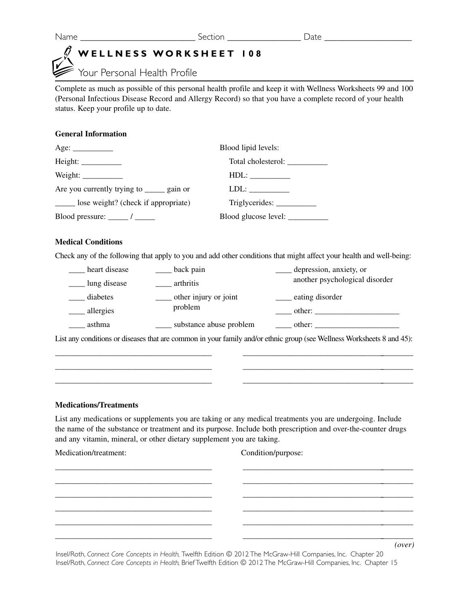# **WELLNESS WORKSHEET 108**

Your Personal Health Profile

Complete as much as possible of this personal health profile and keep it with Wellness Worksheets 99 and 100 (Personal Infectious Disease Record and Allergy Record) so that you have a complete record of your health status. Keep your profile up to date.

#### **General Information**

| Age: $\_\_\_\_\_\_\_\_\_\_\_\_\_\_$         | Blood lipid levels:             |  |
|---------------------------------------------|---------------------------------|--|
|                                             | Total cholesterol:              |  |
| Weight: $\frac{1}{2}$                       |                                 |  |
| Are you currently trying to _______ gain or | $LDL: \_\_\_\_\_\_\_\_\_\_\_\_$ |  |
| lose weight? (check if appropriate)         |                                 |  |
|                                             | Blood glucose level: __________ |  |

#### **Medical Conditions**

Check any of the following that apply to you and add other conditions that might affect your health and well-being:

| heart disease | back pain               | depression, anxiety, or        |
|---------------|-------------------------|--------------------------------|
| lung disease  | arthritis               | another psychological disorder |
| diabetes      | other injury or joint   | eating disorder                |
| allergies     | problem                 | other:                         |
| asthma        | substance abuse problem | other:                         |

List any conditions or diseases that are common in your family and/or ethnic group (see Wellness Worksheets 8 and 45): \_\_\_\_\_\_\_\_\_\_\_\_\_\_\_\_\_\_\_\_\_\_\_\_\_\_\_\_\_\_\_\_\_\_\_\_\_\_\_ \_\_\_\_\_\_\_\_\_\_\_\_\_\_\_\_\_\_\_\_\_\_\_\_\_\_\_\_\_\_\_\_\_\_\_\_\_\_\_\_\_\_\_

\_\_\_\_\_\_\_\_\_\_\_\_\_\_\_\_\_\_\_\_\_\_\_\_\_\_\_\_\_\_\_\_\_\_\_\_\_\_\_ \_\_\_\_\_\_\_\_\_\_\_\_\_\_\_\_\_\_\_\_\_\_\_\_\_\_\_\_\_\_\_\_\_\_\_\_\_\_\_\_\_\_\_ \_\_\_\_\_\_\_\_\_\_\_\_\_\_\_\_\_\_\_\_\_\_\_\_\_\_\_\_\_\_\_\_\_\_\_\_\_\_\_ \_\_\_\_\_\_\_\_\_\_\_\_\_\_\_\_\_\_\_\_\_\_\_\_\_\_\_\_\_\_\_\_\_\_\_\_\_\_\_\_\_\_\_

#### **Medications/Treatments**

List any medications or supplements you are taking or any medical treatments you are undergoing. Include the name of the substance or treatment and its purpose. Include both prescription and over-the-counter drugs and any vitamin, mineral, or other dietary supplement you are taking.

| Medication/treatment: | Condition/purpose: |               |  |
|-----------------------|--------------------|---------------|--|
|                       |                    |               |  |
|                       |                    |               |  |
|                       |                    |               |  |
|                       |                    |               |  |
|                       |                    | $\mathcal{L}$ |  |

Insel/Roth, *Connect Core Concepts in Health,* Twelfth Edition © 2012 The McGraw-Hill Companies, Inc. Chapter 20 Insel/Roth, *Connect Core Concepts in Health,* Brief Twelfth Edition © 2012 The McGraw-Hill Companies, Inc. Chapter 15

*(over)*